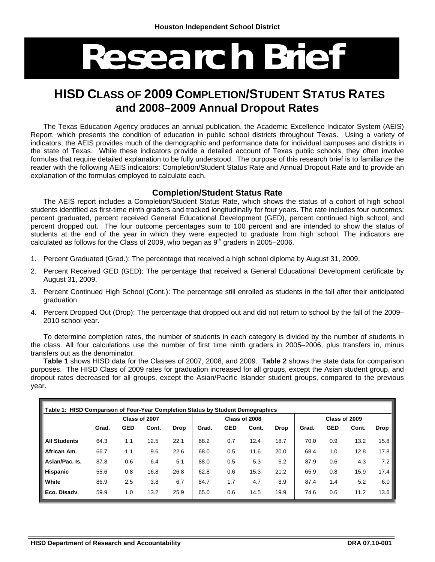# **Research Brief**

## **HISD CLASS OF 2009 COMPLETION/STUDENT STATUS RATES and 2008–2009 Annual Dropout Rates**

The Texas Education Agency produces an annual publication, the Academic Excellence Indicator System (AEIS) Report, which presents the condition of education in public school districts throughout Texas. Using a variety of indicators, the AEIS provides much of the demographic and performance data for individual campuses and districts in the state of Texas. While these indicators provide a detailed account of Texas public schools, they often involve formulas that require detailed explanation to be fully understood. The purpose of this research brief is to familiarize the reader with the following AEIS indicators: Completion/Student Status Rate and Annual Dropout Rate and to provide an explanation of the formulas employed to calculate each.

#### **Completion/Student Status Rate**

The AEIS report includes a Completion/Student Status Rate, which shows the status of a cohort of high school students identified as first-time ninth graders and tracked longitudinally for four years. The rate includes four outcomes: percent graduated, percent received General Educational Development (GED), percent continued high school, and percent dropped out. The four outcome percentages sum to 100 percent and are intended to show the status of students at the end of the year in which they were expected to graduate from high school. The indicators are calculated as follows for the Class of 2009, who began as  $9<sup>th</sup>$  graders in 2005–2006.

- 1. Percent Graduated (Grad.): The percentage that received a high school diploma by August 31, 2009.
- 2. Percent Received GED (GED): The percentage that received a General Educational Development certificate by August 31, 2009.
- 3. Percent Continued High School (Cont.): The percentage still enrolled as students in the fall after their anticipated graduation.
- 4. Percent Dropped Out (Drop): The percentage that dropped out and did not return to school by the fall of the 2009– 2010 school year.

To determine completion rates, the number of students in each category is divided by the number of students in the class. All four calculations use the number of first time ninth graders in 2005–2006, plus transfers in, minus transfers out as the denominator.

**Table 1** shows HISD data for the Classes of 2007, 2008, and 2009. **Table 2** shows the state data for comparison purposes. The HISD Class of 2009 rates for graduation increased for all groups, except the Asian student group, and dropout rates decreased for all groups, except the Asian/Pacific Islander student groups, compared to the previous year.

| Table 1: HISD Comparison of Four-Year Completion Status by Student Demographics |               |            |       |             |       |            |               |             |               |            |       |             |
|---------------------------------------------------------------------------------|---------------|------------|-------|-------------|-------|------------|---------------|-------------|---------------|------------|-------|-------------|
|                                                                                 | Class of 2007 |            |       |             |       |            | Class of 2008 |             | Class of 2009 |            |       |             |
|                                                                                 | Grad.         | <b>GED</b> | Cont. | <b>Drop</b> | Grad. | <u>GED</u> | Cont.         | <b>Drop</b> | Grad.         | <b>GED</b> | Cont. | <b>Drop</b> |
| <b>All Students</b>                                                             | 64.3          | 1.1        | 12.5  | 22.1        | 68.2  | 0.7        | 12.4          | 18.7        | 70.0          | 0.9        | 13.2  | 15.8        |
| African Am.                                                                     | 66.7          | 1.1        | 9.6   | 22.6        | 68.0  | 0.5        | 11.6          | 20.0        | 68.4          | 1.0        | 12.8  | 17.8        |
| Asian/Pac. Is.                                                                  | 87.8          | 0.6        | 6.4   | 5.1         | 88.0  | 0.5        | 5.3           | 6.2         | 87.9          | 0.6        | 4.3   | 7.2         |
| <b>Hispanic</b>                                                                 | 55.6          | 0.8        | 16.8  | 26.8        | 62.8  | 0.6        | 15.3          | 21.2        | 65.9          | 0.8        | 15.9  | 17.4        |
| White                                                                           | 86.9          | 2.5        | 3.8   | 6.7         | 84.7  | 1.7        | 4.7           | 8.9         | 87.4          | 1.4        | 5.2   | 6.0         |
| Eco. Disadv.                                                                    | 59.9          | 1.0        | 13.2  | 25.9        | 65.0  | 0.6        | 14.5          | 19.9        | 74.6          | 0.6        | 11.2  | 13.6        |